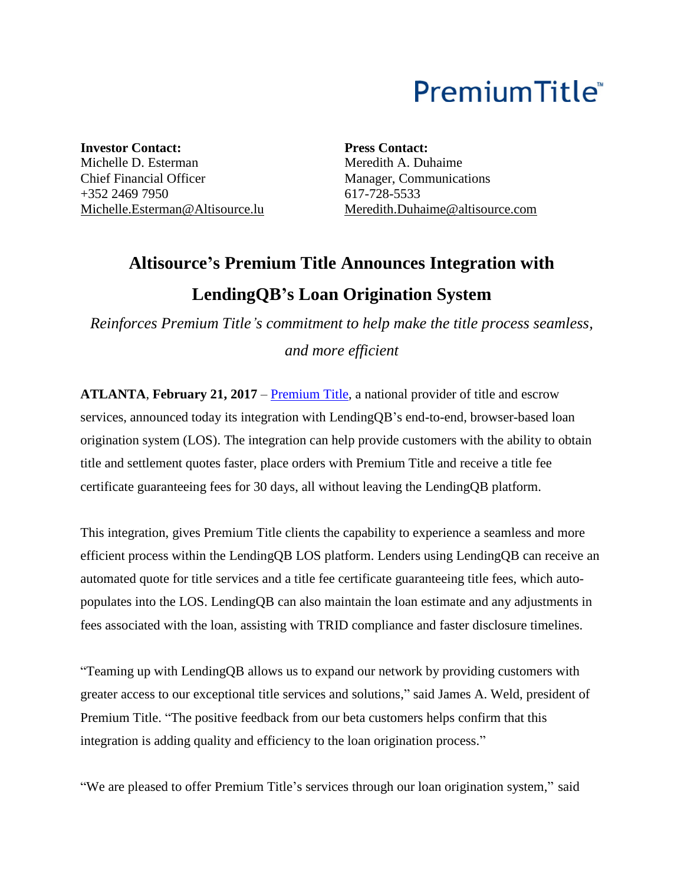# PremiumTitle<sup>®</sup>

**Investor Contact:** Michelle D. Esterman Chief Financial Officer +352 2469 7950 [Michelle.Esterman@Altisource.lu](mailto:Michelle.Esterman@Altisource.lu) **Press Contact:** Meredith A. Duhaime Manager, Communications 617-728-5533 [Meredith.Duhaime@altisource.com](mailto:Meredith.Duhaime@altisource.com)

## **Altisource's Premium Title Announces Integration with LendingQB's Loan Origination System**

*Reinforces Premium Title's commitment to help make the title process seamless, and more efficient* 

**ATLANTA**, **February 21, 2017** – [Premium Title,](http://www.mypremiumtitle.com/?utm_campaign=premiumtitlelendingqb&utm_source=PR&utm_medium=PR&utm_content=boilerplate) a national provider of title and escrow services, announced today its integration with LendingQB's end-to-end, browser-based loan origination system (LOS). The integration can help provide customers with the ability to obtain title and settlement quotes faster, place orders with Premium Title and receive a title fee certificate guaranteeing fees for 30 days, all without leaving the LendingQB platform.

This integration, gives Premium Title clients the capability to experience a seamless and more efficient process within the LendingQB LOS platform. Lenders using LendingQB can receive an automated quote for title services and a title fee certificate guaranteeing title fees, which autopopulates into the LOS. LendingQB can also maintain the loan estimate and any adjustments in fees associated with the loan, assisting with TRID compliance and faster disclosure timelines.

"Teaming up with LendingQB allows us to expand our network by providing customers with greater access to our exceptional title services and solutions," said James A. Weld, president of Premium Title. "The positive feedback from our beta customers helps confirm that this integration is adding quality and efficiency to the loan origination process."

"We are pleased to offer Premium Title's services through our loan origination system," said